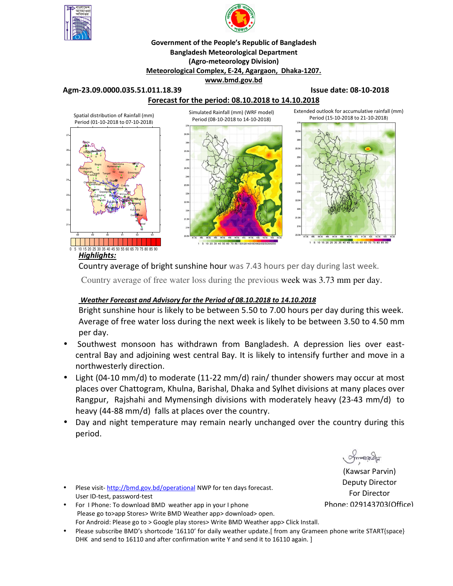



## **Government of the People's Republic of Bangladesh Bangladesh Meteorological Department (Agro-meteorology Division) Meteorological Complex, E-24, Agargaon, Dhaka-1207. www.bmd.gov.bd**

### **Agm-23.09.0000.035.51.011.18.39 Issue date: 08-10-2018**



Country average of bright sunshine hour was 7.43 hours per day during last week.

Country average of free water loss during the previous week was 3.73 mm per day.

# *Weather Forecast and Advisory for the Period of 08.10.2018 to 14.10.2018*

Bright sunshine hour is likely to be between 5.50 to 7.00 hours per day during this week. Average of free water loss during the next week is likely to be between 3.50 to 4.50 mm per day.

- Southwest monsoon has withdrawn from Bangladesh. A depression lies over eastcentral Bay and adjoining west central Bay. It is likely to intensify further and move in a northwesterly direction.
- Light (04-10 mm/d) to moderate (11-22 mm/d) rain/ thunder showers may occur at most places over Chattogram, Khulna, Barishal, Dhaka and Sylhet divisions at many places over Rangpur, Rajshahi and Mymensingh divisions with moderately heavy (23-43 mm/d) to heavy (44-88 mm/d) falls at places over the country.
- Day and night temperature may remain nearly unchanged over the country during this period.

(Kawsar Parvin) Deputy Director For Director Phone: 029143703(Office)

- Plese visit-http://bmd.gov.bd/operational NWP for ten days forecast. User ID-test, password-test
- For I Phone: To download BMD weather app in your I phone Please go to>app Stores> Write BMD Weather app> download> open. For Android: Please go to > Google play stores> Write BMD Weather app> Click Install.
- Please subscribe BMD's shortcode '16110' for daily weather update.[ from any Grameen phone write START{space} DHK and send to 16110 and after confirmation write Y and send it to 16110 again. ]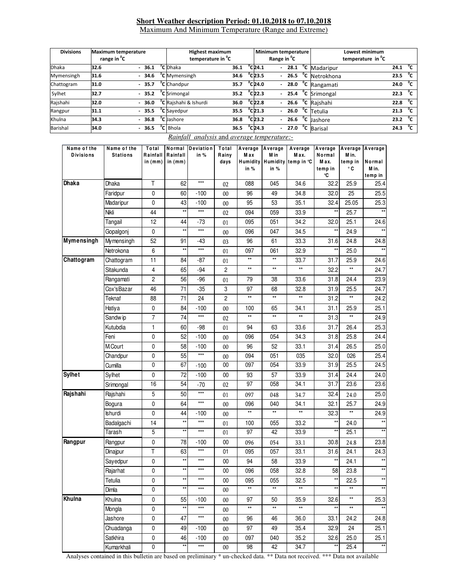#### **Short Weather description Period: 01.10.2018 to 07.10.2018** Maximum And Minimum Temperature (Range and Extreme)

**Divisions Maximum temperature range in <sup>0</sup> C Highest maximum temperature in <sup>0</sup> C Minimum temperature Range in <sup>0</sup> C Lowest minimum temperature in <sup>0</sup> C**  Dhaka **32.6 - 36.1 <sup>0</sup> C** Dhaka **36.1 C** 24.1  $- 28.1$ **C** Madaripur **24.1 <sup>0</sup> C** Mymensingh **31.6 - 34.6 <sup>0</sup> C** Mymensingh **34.6 <sup>0</sup> C 23.5 - 26.5 <sup>0</sup> C** Netrokhona **23.5 <sup>0</sup>**  $^{\circ}$ C Chattogram **31.0 - 35.7 <sup>0</sup> Chandpur 35.7 C 24.0 - 28.0 <sup>0</sup> C** Rangamati **24.0 <sup>0</sup> C 5ylhet 32.7** - **35.2** <sup>**0**</sup>**c C** Srimongal **35.2 <sup>0</sup>**  $^{0}$ C<sub>22.3</sub> - 25.4 **C** Srimongal **22.3 <sup>0</sup>**  $\overline{c}$ Rajshahi **32.0 - 36.0 <sup>0</sup> C** Rajshahi & Ishurdi **36.0 <sup>0</sup> C 22.8 - 26.6 <sup>0</sup> C** Rajshahi **22.8 <sup>0</sup> C** Rangpur **31.1 - 35.5 <sup>0</sup> C** Sayedpur **35.5 <sup>0</sup>C** 21.3  $- 26.0$ **C** Tetulia **21.3 <sup>0</sup>**  $\overline{c}$ Khulna **34.3 - 36.8 <sup>0</sup> C** Jashore **36.8 <sup>0</sup> C 23.2 - 26.6 <sup>0</sup> C** Jashore **23.2 <sup>0</sup> C** Barishal **34.0 - 36.5 <sup>0</sup> C** Bhola **36.5 C** 24.3 **C 24.3 - 27.0 <sup>0</sup> C** Barisal **24.3 <sup>0</sup> C**

| Name of the<br><b>Divisions</b> | Name of the<br><b>Stations</b> | Total<br>Rainfall<br>in $(mm)$ | Rainfall<br>in $(mm)$ | Normal Deviation<br>in % | Total<br>Rainy<br>days | Average<br>Max<br><b>Humidity</b><br>in % | Average<br>M in<br>in % | Average<br>M ax.<br>Humidity temp in °C | Average<br>Normal<br>Max.<br>temp in<br>°C | Average<br>M in.<br>temp in<br>۰c | Average<br>Normal<br>M in.<br>temp in |
|---------------------------------|--------------------------------|--------------------------------|-----------------------|--------------------------|------------------------|-------------------------------------------|-------------------------|-----------------------------------------|--------------------------------------------|-----------------------------------|---------------------------------------|
| <b>Dhaka</b>                    | Dhaka                          | T                              | 62                    | $***$                    | 02                     | 088                                       | 045                     | 34.6                                    | 32.2                                       | 25.9                              | 25.4                                  |
|                                 | Faridpur                       | $\pmb{0}$                      | 60                    | $-100$                   | 00                     | 96                                        | 49                      | 34.8                                    | 32.0                                       | 25                                | 25.5                                  |
|                                 | Madaripur                      | 0                              | 43                    | $-100$                   | 00                     | 95                                        | 53                      | 35.1                                    | 32.4                                       | 25.05                             | 25.3                                  |
|                                 | Nikli                          | 44                             | $\star\star$          | $***$                    | 02                     | 094                                       | 059                     | 33.9                                    | $\star\star$                               | 25.7                              |                                       |
|                                 | Tangail                        | 12                             | 44                    | -73                      | 01                     | 095                                       | 051                     | 34.2                                    | 32.0                                       | 25.1                              | 24.6                                  |
|                                 | Gopalgonj                      | 0                              | $\star\star$          | $***$                    | 00                     | 096                                       | 047                     | 34.5                                    |                                            | 24.9                              |                                       |
| Mymensingh                      | Mymensingh                     | 52                             | 91                    | -43                      | 03                     | 96                                        | 61                      | 33.3                                    | 31.6                                       | 24.8                              | 24.8                                  |
|                                 | Netrokona                      | 6                              | $\star\star$          | $***$                    | 01                     | 097                                       | 061                     | 32.9                                    | $\star\star$                               | 25.0                              | $\star\star$                          |
| Chattogram                      | Chattogram                     | 11                             | 84                    | $-87$                    | 01                     | $\star\star$                              | $\star\star$            | 33.7                                    | 31.7                                       | 25.9                              | 24.6                                  |
|                                 | Sitakunda                      | 4                              | 65                    | -94                      | $\mathbf{2}$           | $\star\star$                              | $^{\star\star}$         | $^{\star\star}$                         | 32.2                                       | $\star\star$                      | 24.7                                  |
|                                 | Rangamati                      | 2                              | 56                    | $-96$                    | 01                     | 79                                        | 38                      | 33.6                                    | 31.8                                       | 24.4                              | 23.9                                  |
|                                 | Cox'sBazar                     | 46                             | 71                    | $-35$                    | 3                      | 97                                        | 68                      | 32.8                                    | 31.9                                       | 25.5                              | 24.7                                  |
|                                 | Teknaf                         | 88                             | 71                    | 24                       | $\overline{c}$         | $\star\star$                              | $\star\star$            | $\star\star$                            | 31.2                                       | **                                | 24.2                                  |
|                                 | Hatiya                         | 0                              | 84                    | $-100$                   | $00\,$                 | 100                                       | 65                      | 34.1                                    | 31.1                                       | 25.9                              | 25.1                                  |
|                                 | Sandwip                        | $\overline{7}$                 | 74                    | $\star\star\star$        | 02                     | $\star\star$                              | $\star\star$            | $\star\star$                            | 31.3                                       | **                                | 24.9                                  |
|                                 | Kutubdia                       | 1                              | 60                    | -98                      | 01                     | 94                                        | 63                      | 33.6                                    | 31.7                                       | 26.4                              | 25.3                                  |
|                                 | Feni                           | 0                              | 52                    | $-100$                   | 00                     | 096                                       | 054                     | 34.3                                    | 31.8                                       | 25.8                              | 24.4                                  |
|                                 | M.Court                        | 0                              | 58                    | $-100$                   | $00\,$                 | 96                                        | 52                      | 33.1                                    | 31.4                                       | 26.5                              | 25.0                                  |
|                                 | Chandpur                       | 0                              | 55                    | $\star\star\star$        | 00                     | 094                                       | 051                     | 035                                     | 32.0                                       | 026                               | 25.4                                  |
|                                 | Cumilla                        | 0                              | 67                    | $-100$                   | $00\,$                 | 097                                       | 054                     | 33.9                                    | 31.9                                       | 25.5                              | 24.5                                  |
| <b>Sylhet</b>                   | Sylhet                         | $\pmb{0}$                      | 72                    | $-100$                   | 00                     | 93                                        | 57                      | 33.9                                    | 31.4                                       | 24.4                              | 24.0                                  |
|                                 | Srimongal                      | 16                             | 54                    | $-70$                    | 02                     | 97                                        | 058                     | 34.1                                    | 31.7                                       | 23.6                              | 23.6                                  |
| Rajshahi                        | Rajshahi                       | 5                              | 50                    | $\star\star\star$        | 01                     | 097                                       | 048                     | 34.7                                    | 32.4                                       | 24.0                              | 25.0                                  |
|                                 | Bogura                         | 0                              | 64                    | $***$                    | $00\,$                 | 096                                       | 040                     | 34.1                                    | 32.1                                       | 25.7                              | 24.9                                  |
|                                 | Ishurdi                        | 0                              | 44                    | $-100$                   | 00                     | $\star\star$                              | $\star\star$            | $^{\star\star}$                         | 32.3                                       | **                                | 24.9                                  |
|                                 | Badalgachi                     | 14                             | $\star\star$          | $***$                    | 01                     | 100                                       | 055                     | 33.2                                    | $^{\star\star}$                            | 24.0                              |                                       |
|                                 | Tarash                         | 5                              | $\star\star$          | $***$                    | 01                     | 97                                        | 42                      | 33.9                                    |                                            | 25.1                              |                                       |
| Rangpur                         | Rangpur                        | 0                              | 78                    | $-100$                   | $00\,$                 | 096                                       | 054                     | 33.1                                    | 30.8                                       | 24.8                              | 23.8                                  |
|                                 | Dinajpur                       | T                              | 63                    | $***$                    | 01                     | 095                                       | 057                     | 33.1                                    | 31.6                                       | 24.1                              | 24.3                                  |
|                                 | Sayedpur                       | 0                              | $\star\star$          | $***$                    | $00\,$                 | 94                                        | 58                      | 33.9                                    | $\star\star$                               | 24.1                              | $^{\star\star}$                       |
|                                 | Rajarhat                       | 0                              | $\star\star$          | $***$                    | 00                     | 096                                       | 058                     | 32.8                                    | 58                                         | 23.8                              | $^{\star\star}$                       |
|                                 | Tetulia                        | 0                              | $\star\star$          | $\star\star\star$        | $00\,$                 | 095                                       | 055                     | 32.5                                    | $\star\star$                               | 22.5                              | $^{\star\star}$                       |
|                                 | Dimla                          | 0                              | $\star\star$          | $***$                    | $00\,$                 | **                                        | $\star\star$            | $^{\star\star}$                         | $\star\star$                               | $\star\star$                      | $\star\star$                          |
| Khulna                          | Khulna                         | $\pmb{0}$                      | 55                    | $-100$                   | $00\,$                 | 97                                        | 50                      | 35.9                                    | 32.6                                       | $\star\star$                      | 25.3                                  |
|                                 | Mongla                         | 0                              | $\star\star$          | $***$                    | $00\,$                 | $\star\star$                              | $\star\star$            | $\star\star$                            | $\star\star$                               | $\star\star$                      | $\star\star$                          |
|                                 | Jashore                        | 0                              | 47                    | $***$                    | $00\,$                 | 96                                        | 46                      | 36.0                                    | 33.1                                       | 24.2                              | 24.8                                  |
|                                 | Chuadanga                      | 0                              | 49                    | $-100$                   | $00\,$                 | 97                                        | 49                      | 35.4                                    | 32.9                                       | 24                                | 25.1                                  |
|                                 | Satkhira                       | 0                              | 46                    | $-100$                   | $00\,$                 | 097                                       | 040                     | 35.2                                    | 32.6                                       | 25.0                              | 25.1                                  |
|                                 | Kumarkhali                     | 0                              | $\star\star$          | $\star\star\star$        | $00\,$                 | 98                                        | 42                      | 34.7                                    | $\star\star$                               | 25.4                              | $\star\star$                          |

#### *Rainfall analysis* and *average temperature:-*

Analyses contained in this bulletin are based on preliminary \* un-checked data. \*\* Data not received. \*\*\* Data not available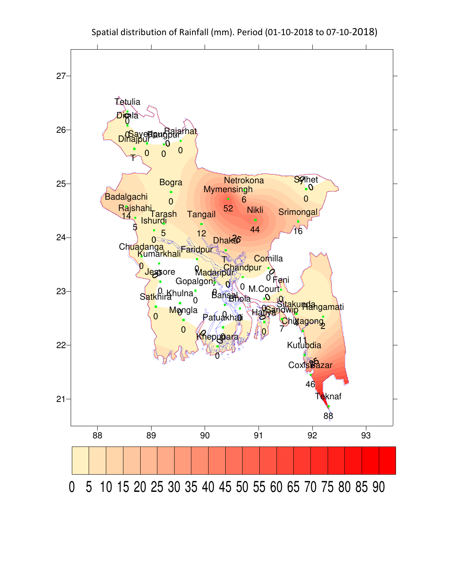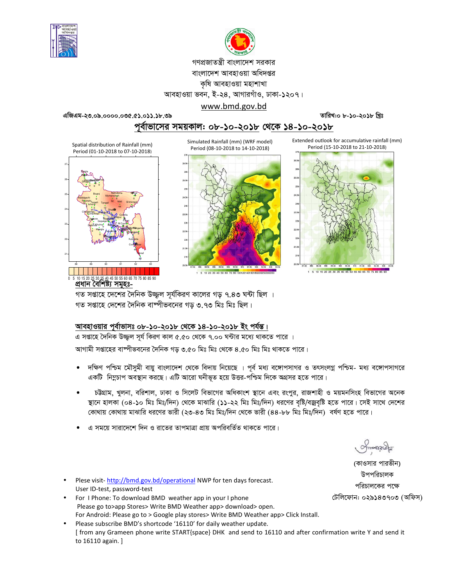



গণপ্রজাতন্ত্রী বাংলাদেশ সরকার বাংলাদেশ আবহাওয়া অধিদপ্তর কৃষি আবহাওয়া মহাশাখা আবহাওয়া ভবন, ই-২৪, আগারগাঁও, ঢাকা-১২০৭।

www.bmd.gov.bd

এজিএম-২৩.০৯.০০০০.০৩৫.৫১.০১১.১৮.৩৯

তারিখ:০ ৮-১০-২০১৮ খিঃ

Extended outlook for accumulative rainfall (mm)

পূর্বাভাসের সময়কাল: ০৮-১০-২০১৮ থে<u>কে ১৪-১০-২০১৮</u> Simulated Rainfall (mm) (WRF model)

Spatial distribution of Rainfall (mm) Period (01-10-2018 to 07-10-2018)





1 5 10 20 30 40 50 60 70 80 100120140160180



গত সপ্তাহে দেশের দৈনিক উজ্জল সর্যকিরণ কালের গড় ৭.৪৩ ঘন্টা ছিল । গত সপ্তাহে দেশের দৈনিক বাষ্পীভবনের গড় ৩.৭৩ মিঃ মিঃ ছিল।

## আবহাওয়ার পূর্বাভাসঃ ০৮-১০-২০১৮ থেকে ১৪-১০-২০১৮ ইং পর্যন্ত।

এ সপ্তাহে দৈনিক উজ্জুল সূর্য কিরণ কাল ৫.৫০ থেকে ৭.০০ ঘন্টার মধ্যে থাকতে পারে ।

আগামী সপ্তাহের বাম্পীভবনের দৈনিক গড় ৩.৫০ মিঃ মিঃ থেকে ৪.৫০ মিঃ মিঃ থাকতে পারে।

- দক্ষিণ পশ্চিম মৌসুমী বায়ু বাংলাদেশ থেকে বিদায় নিয়েছে । পূর্ব মধ্য বঙ্গোপসাগর ও তৎসংলগ্ন পশ্চিম- মধ্য বঙ্গোপসাগরে একটি নিমুচাপ অবস্থান করছে। এটি আরো ঘনীভূত হয়ে উত্তর-পশ্চিম দিকে অগ্রসর হতে পারে।
- চট্টগ্রাম, খুলনা, বরিশাল, ঢাকা ও সিলেট বিভাগের অধিকাংশ স্থানে এবং রংপুর, রাজশাহী ও ময়মনসিংহ বিভাগের অনেক স্থানে হালকা (০৪-১০ মিঃ মিঃ/দিন) থেকে মাঝারি (১১-২২ মিঃ মিঃ/দিন) ধরণের বৃষ্টি/বজ্রবৃষ্টি হতে পারে। সেই সাথে দেশের কোথায় কোথায় মাঝারি ধরণের ভারী (২৩-৪৩ মিঃ মিঃ/দিন থেকে ভারী (৪৪-৮৮ মিঃ মিঃ/দিন) বর্ষণ হতে পারে।
- এ সময়ে সারাদেশে দিন ও রাতের তাপমাত্রা প্রায় অপরিবর্তিত থাকতে পারে।

 $\gamma$ monach

(কাওসার পারভীন) উপপরিচালক পরিচালকের পক্ষে টেলিফোন: ০২৯১৪৩৭০৩ (অফিস)

- Plese visit-http://bmd.gov.bd/operational NWP for ten days forecast. User ID-test, password-test
- For I Phone: To download BMD weather app in your I phone Please go to>app Stores> Write BMD Weather app> download> open. For Android: Please go to > Google play stores> Write BMD Weather app> Click Install.
- Please subscribe BMD's shortcode '16110' for daily weather update. [ from any Grameen phone write START{space} DHK and send to 16110 and after confirmation write Y and send it to 16110 again.]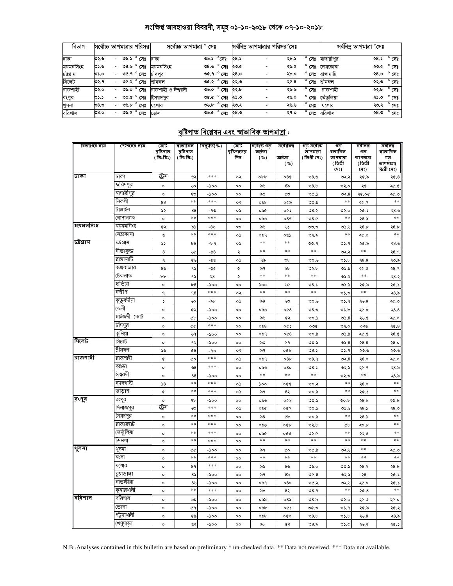# সংক্ষিপ্ত আবহাওয়া বিবরণী, সমূহ ০১-১০-২০১৮ থেকে ০৭-১০-২০১৮

| বিভাগ     | সর্বোচ্চ তাপমাত্রার পরিসর |                          |      |                | সৰ্বোচ্চ তাপমাত্ৰা $\,^\circ$ সেঃ |      |                                      |      | সর্বনিম তাপমাত্রার পরিসর <sup>০</sup> সেঃ |      |                | সৰ্বনিম্ন তাপমাত্ৰা °সেঃ |            |                |
|-----------|---------------------------|--------------------------|------|----------------|-----------------------------------|------|--------------------------------------|------|-------------------------------------------|------|----------------|--------------------------|------------|----------------|
| ঢাকা      | ৩২.৬                      | $\overline{\phantom{0}}$ |      | ৩৬.১ ° সেঃ     | ঢাকা                              | ৩৬.১ | $^{\circ}$ সেঃ                       | ২৪.১ |                                           | ২৮.১ | $^{\circ}$ সেঃ | মাদারীপর                 | ২৪.১ ° সেঃ |                |
| ময়মনসিংহ | ৩১.৬                      | $\overline{\phantom{0}}$ | ৩৪.৬ | $^{\circ}$ সেঃ | ময়মনসিংহ                         |      | ৩৪.৬ ° সেঃ                           | ২৩.৫ |                                           | ২৬.৫ | $^{\circ}$ সেঃ | নেত্ৰকোনা                | ২৩.৫       | $^{\circ}$ সেঃ |
| চউগ্ৰাম   | ৩১.০                      | $\overline{\phantom{0}}$ |      | ৩৫.৭ ° সেঃ     | চাঁদপর                            |      | ত $6.9^\circ$ সেঃ                    | ২৪.০ | $\overline{\phantom{a}}$                  | ২৮.০ | $^{\circ}$ সেঃ | রাসামাটি                 | ২৪.০ ° সেঃ |                |
| সিলেট     | ৩২.৭                      | $\overline{\phantom{0}}$ |      | ৩৫.২ ° সেঃ     | শ্ৰীমঙ্গল                         |      | $\overline{\circ}$ ং সং              | ২২.৩ |                                           | ২৫.৪ | $^{\circ}$ সেঃ | শ্ৰীমঙ্গল                | ২২.৩       | $^{\circ}$ সেঃ |
| রাজশাহী   | ৩২.০                      | $\overline{\phantom{0}}$ | ৩৬.০ | $^{\circ}$ সেঃ | রাজশাহী ও ঈশ্বরদী                 |      | ৩৬.০ ° সেঃ ২২.৮                      |      |                                           | ২৬.৬ | $^{\circ}$ সেঃ | রাজশাহী                  | ২২.৮       | $^{\circ}$ সেঃ |
| রংপুর     | ৩১.১                      | $\overline{\phantom{0}}$ |      | ৩৫.৫ ° সেঃ     | সৈয়দপর                           |      | ত $\alpha$ . $\alpha$ $\circ$ সেঃ    | ২১.৩ |                                           | ২৬.০ | $^{\circ}$ সেঃ | তেঁতলিয়া                | ২১.৩ ° সেঃ |                |
| খলনা      | ৩ $8.9$                   | -                        | ৩৬.৮ | $^{\circ}$ সেঃ | যশোর                              |      | ৩৬.৮ ° সেঃ ২৩.২                      |      |                                           | ২৬.৬ | $^{\circ}$ সেঃ | যশোর                     | ২৩.২ ° সেঃ |                |
| বরিশাল    | ৩৪.০                      | $\overline{\phantom{0}}$ |      | ৩৬.৫ ° সেঃ     | ভোলা                              |      | তড. $\alpha$ $\overline{C}$ সিঃ ২৪.৩ |      | -                                         | ২৭.০ | $^{\circ}$ সেঃ | বরিশাল                   | ২৪.৩       | $^{\circ}$ সেঃ |

# <u>বৃষ্টিপাত বিশ্লেষন এবং স্বাভাবিক তাপমাত্ৰা :</u>

| বিভাগের নাম | স্টেশনের নাম | মোট<br>বৃষ্টিপাত | ষাভাবিক<br>বৃষ্টিপাত   | বিছ্যুতি( %)    | মোট<br>বৃষ্টিপাতের   | সৰ্বোষ্ক গড<br>আৰ্দ্ৰতা | সৰ্বোনিম্ন      | গড় সৰ্বো <del>ৰ</del><br>তাপমাত্রা | গড<br>ষভাবিক        | সৰ্বনিম্ন<br>গড | সর্বনিম্ন<br>ষাভাবিক |
|-------------|--------------|------------------|------------------------|-----------------|----------------------|-------------------------|-----------------|-------------------------------------|---------------------|-----------------|----------------------|
|             |              | (মিঃমিঃ)         | (মিঃমিঃ)               |                 | দিন                  | ( %)                    | আৰ্দ্ৰতা        | (ডিগ্ৰী সেঃ)                        | তাপমাত্রা           | তাপমাত্রা       | গড                   |
|             |              |                  |                        |                 |                      |                         | ( %)            |                                     | (ডিগ্ৰী             | (ডিগ্ৰী         | তাপমাত্রা(           |
| ।जन्म       | ঢাকা         | ট্রেস            |                        | ***             |                      |                         |                 |                                     | (সঃ)                | (সঃ)            | ডিগ্ৰী সেঃ)          |
|             | করিদপুর      |                  | پي                     |                 | ०२                   | obb                     | 08¢             | ৩ $8.5$                             | ৩২.২                | ২৫.৯            | 20.8                 |
|             | মাদারীপুর    | $\circ$          | ৬০                     | -১০০            | $^{\circ}$           | ৯৬                      | 8 <sub>o</sub>  | 08.b                                | ৩২.০                | ২৫              | ২৫.৫                 |
|             | নিকলী        | $\circ$          | 8 <sub>0</sub><br>$**$ | $-500$<br>$***$ | $\circ$              | ৯৫                      | ৫৩              | ৩৫.১                                | 02.8<br>**          | 90.95           | ২৫.৩<br>**           |
|             | টাঙ্গাইল     | 88               |                        |                 | ०२                   | ০৯৪                     | ০৫৯             | ৩৩.৯                                |                     | ২৫.৭            |                      |
|             | গোপালগঞ্জ    | ১২               | 88<br>$*$              | - 90<br>***     | ०১                   | ০৯৫                     | ০৫১             | ৩৪.২                                | ৩২.০<br>$*$ :       | ২৫.১            | ২৪.৬<br>$**$         |
| ময়মনসিংহ   | ময়মনসিংহ    | $\circ$          |                        | -80             | $\circ$<br>০৩        | ০৯৬                     | 089             | 08.0                                |                     | 28.5            | 28.5                 |
|             | নেত্ৰকোনা    | ৫২<br>৬          | ৯১<br>$\pm$ $\pm$      | ***             | ०১                   | ৯৬<br>০৯৭               | ৬১<br>০৬১       | ৩৩.৩<br>৩২.৯                        | ৩১.৬<br>$\pm$ $\pm$ | 28.5<br>২৫.০    | $\pm$ $\pm$          |
| চউগ্ৰাম     | ঢট্ৰগ্ৰাম    | $\mathcal{L}$    | b8                     | $-b$ ۹          | ०১                   | $\ast$                  | $\ast$          | ৩৩.৭                                | ৩১.৭                | ২৫.৯            | ২৪.৬                 |
|             | সীতাকুন্ড    | 8                | ৬৫                     | -৯৪             | ź                    | **                      | $\ast$          | $\pm$ $\pm$                         | ৩২.২                | **              | २8.१                 |
|             | রাঙ্গামার্টি | ¢                | ৫৬                     | -৯৬             | ०১                   | ৭৯                      | ৩৮              | ৩৩.৬                                | ৩১.৮                | 28.8            | ২৩.৯                 |
|             | কক্সবাজার    | $8\%$            | ۹১                     | - 00            | $\mathbf{\hat{c}}$   | ৯৭                      | ৬৮              | ৩২.৮                                | ৩১.৯                | ২৫.৫            | ২8. ৭                |
|             | টেকনাফ       | $b\bar{b}$       | ۹۵                     | ২৪              | $\ddot{\phantom{0}}$ | $**$                    | $**$            | $\pm$ $\pm$                         | ৩১.২                | $**$            | ২৪.২                 |
|             | যতিয়া       | $\circ$          | b8                     | -১০০            | oo                   | ১০০                     | ৬৫              | 08.5                                | 05.5                | ২৫.৯            | ২৫.১                 |
|             | সন্দ্বীপ     | ٩                | 98                     | $***$           | ०२                   | $\pm$ $\pm$             | $\ast$          | $\pm$ $\pm$                         | ৩১.৩                | $\ast$          | 28.5                 |
|             | কুতুবদীয়া   | 2                | ৬০                     | -৯৮             | ০১                   | ৯৪                      | ৬৩              | ৩৩.৬                                | 0.4                 | ২৬.৪            | ২৫.৩                 |
|             | ফেনী         | $\circ$          | ৫২                     | -১০০            | $^{\circ}$           | ০৯৬                     | 0@8             | ಲಿ $8.0$                            | ৩১.৮                | ২৫.৮            | 28.8                 |
|             | মাইজদী কোর্ট | $\circ$          | ¢Ъ                     | $-500$          | $^{\circ}$           | ৯৬                      | ৫২              | ৩৩.১                                | 05.8                | ২৬.৫            | ২৫.০                 |
|             | চাঁদপুর      | $\circ$          | ¢¢                     | ***             | $^{\circ}$           | ০৯৪                     | ০৫১             | ০৩৫                                 | ৩২.০                | ০২৬             | 20.8                 |
|             | কুমিল্লা     | $\circ$          | ৬৭                     | -১০০            | $^{\circ}$           | ০৯৭                     | 008             | ৩৩.৯                                | ৩১.৯                | ২৫.৫            | 28.0                 |
| সিলেট       | সিলেট        | $\circ$          | ৭২                     | $-500$          | $^{\circ}$           | ৯৩                      | 69              | ৩৩.৯                                | 05.8                | 28.8            | 28.0                 |
|             | শ্ৰীমঙ্গল    | ১৬               | $^{68}$                | $-90$           | ०२                   | ৯৭                      | oQb             | 08.5                                | ৩১.৭                | ২৩.৬            | ২৩.৬                 |
| বাজশাহী     | রাজশাহী      | ¢                | <b>CO</b>              | $***$           | ०১                   | ০৯৭                     | 08b             | 08.9                                | ৩২. $8$             | 28.0            | ২৫.০                 |
|             | বগুডা        | $\circ$          | 98                     | ***             | oo                   | ০৯৬                     | 080             | 08.5                                | ৩২.১                | ২৫.৭            | ২৪.৯                 |
|             | ঈশ্বরদী      | $\circ$          | 88                     | -১০০            | oo                   | $\pm$ $\pm$             | $\ast$          | $\pm$ $\pm$                         | ৩২.৩                | **              | ২8.৯                 |
|             | বদলগাদ্বী    | 58               | **                     | $***$           | ০১                   | ১০০                     | oQQ             | ৩৩.২                                | $**$                | ২8.०            | **                   |
|             | তাডাশ        | ¢                | **                     | ***             | ०১                   | ৯৭                      | 8২              | ৩৩.৯                                | **                  | ২৫.১            | **                   |
| বংপুর       | রংপুর        | $\circ$          | ৭৮                     | -১০০            | $\circ$              | ০৯৬                     | 008             | ৩৩.১                                | 0.5                 | 28.5            | ২৩.৮                 |
|             | দিনাজপুর     | ট্রেস            | ৬৩                     | ***             | ०১                   | ০৯৫                     | ०৫৭             | ৩৩.১                                | ৩১.৬                | 28.5            | ২৪.৩                 |
|             | সৈয়দপুর     | $\circ$          | $*$                    | ***             | $^{\circ}$           | ৯৪                      | ¢Ъ              | ৩৩.৯                                | $**$                | 28.5            | $**$                 |
|             | রাজারহাট     | $\circ$          | $**$                   | ***             | oo                   | ০৯৬                     | oQb             | ৩২.৮                                | <b>G</b>            | ২৩.৮            | **                   |
|             | তেতুঁলিয়া   | $\circ$          | $\pm$ $\pm$            | ***             | $^{\circ}$           | ০৯৫                     | 000             | ৩২.৫                                | **                  | ২২.৫            | $\pm$ $\pm$          |
|             | ডিমলা        | $\circ$          | $\ast$                 | ***             | $^{\circ}$           | $\ast$                  | $\ast$          | $\ast$                              | $**$                | $\ast$          | **                   |
| शूनना       | থুলনা        | $\circ$          | ¢¢                     | -১০০            | $^{\circ}$           | ৯৭                      | Q0              | ৩৫.৯                                | ৩২.৬                | **              | ২৫.৩                 |
|             | মংলা         | $\circ$          | $**$                   | ***             | $^{\circ}$           | $* *$                   | $**$            | $* *$                               | $\pm$ $\pm$         | **              | $\pm$ $\pm$          |
|             | যশোর         | $\circ$          | 8٩                     | ***             | $^{\circ}$           | ৯৬                      | 8 <sub>0</sub>  | ৩৬.০                                | ৩৩.১                | ২৪.২            | 28.5                 |
|             | চুয়াডাঙ্গা  | $\circ$          | 85                     | $-500$          | oo                   | ৯৭                      | 8 <sub>o</sub>  | 0.90                                | ৩২.৯                | ২৪              | ২৫.১                 |
|             | সাতক্ষীরা    | $\circ$          | 8 <sub>9</sub>         | -200            | $^{\circ}$           | ০৯৭                     | 080             | ৩৫.২                                | ৩২.৬                | ২৫.০            | ২৫.১                 |
|             | কৃমারখালী    | $\circ$          | **                     | $***$           | $^{\circ}$           | ৯৮                      | 8২              | 08.9                                | **                  | 20.8            | **                   |
| ববিশাল      | বরিশাল       | $\circ$          | ەئ                     | -১০০            | $^{\circ}$           | ০৯৯                     | 08 <sub>o</sub> | ৩৪.৯                                | ৩২.০                | ২৫.৩            | ২৫.০                 |
|             | ভোলা         | $\circ$          | 69                     | -১০০            | $^{\circ}$           | ০৯৮                     | ০৫১             | ৩৫.৩                                | ৩১.৭                | ২৫.৯            | ২৫.২                 |
|             | পটুয়াথালী   | $\circ$          | ৫৯                     | -১০০            | oo                   | ০৯৮                     | oro             | 08.5                                | 0.5b                | ২৬.৪            | ২8.৯                 |
|             | খেপুশাড়া    | $\circ$          | ৬২                     | $-500$          | $\circ$              | ৯৮                      | Q2              | 08.5                                | 0.60                | ২৬.২            | ২৫.১                 |

N.B .Analyses contained in this bulletin are based on preliminary \* un-checked data. \*\* Data not received. \*\*\* Data not available.